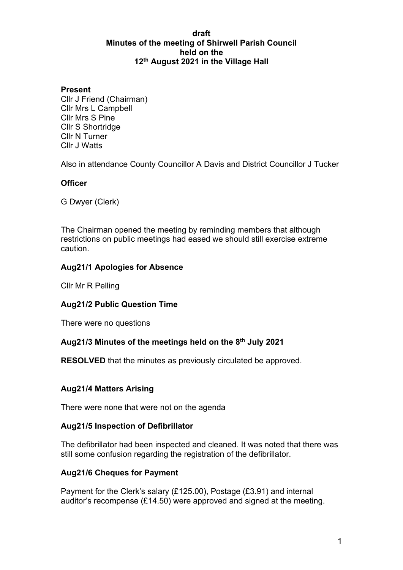#### **draft Minutes of the meeting of Shirwell Parish Council held on the 12th August 2021 in the Village Hall**

## **Present**

Cllr J Friend (Chairman) Cllr Mrs L Campbell Cllr Mrs S Pine Cllr S Shortridge Cllr N Turner Cllr J Watts

Also in attendance County Councillor A Davis and District Councillor J Tucker

# **Officer**

G Dwyer (Clerk)

The Chairman opened the meeting by reminding members that although restrictions on public meetings had eased we should still exercise extreme caution.

# **Aug21/1 Apologies for Absence**

Cllr Mr R Pelling

## **Aug21/2 Public Question Time**

There were no questions

## **Aug21/3 Minutes of the meetings held on the 8th July 2021**

**RESOLVED** that the minutes as previously circulated be approved.

## **Aug21/4 Matters Arising**

There were none that were not on the agenda

## **Aug21/5 Inspection of Defibrillator**

The defibrillator had been inspected and cleaned. It was noted that there was still some confusion regarding the registration of the defibrillator.

## **Aug21/6 Cheques for Payment**

Payment for the Clerk's salary (£125.00), Postage (£3.91) and internal auditor's recompense (£14.50) were approved and signed at the meeting.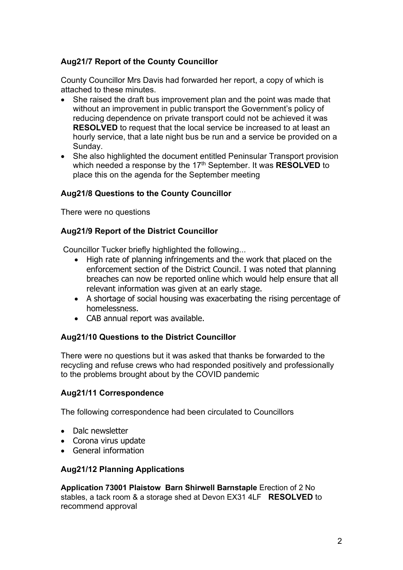# **Aug21/7 Report of the County Councillor**

County Councillor Mrs Davis had forwarded her report, a copy of which is attached to these minutes.

- She raised the draft bus improvement plan and the point was made that without an improvement in public transport the Government's policy of reducing dependence on private transport could not be achieved it was **RESOLVED** to request that the local service be increased to at least an hourly service, that a late night bus be run and a service be provided on a Sunday.
- She also highlighted the document entitled Peninsular Transport provision which needed a response by the 17<sup>th</sup> September. It was **RESOLVED** to place this on the agenda for the September meeting

# **Aug21/8 Questions to the County Councillor**

There were no questions

# **Aug21/9 Report of the District Councillor**

Councillor Tucker briefly highlighted the following...

- High rate of planning infringements and the work that placed on the enforcement section of the District Council. I was noted that planning breaches can now be reported online which would help ensure that all relevant information was given at an early stage.
- A shortage of social housing was exacerbating the rising percentage of homelessness.
- CAB annual report was available.

# **Aug21/10 Questions to the District Councillor**

There were no questions but it was asked that thanks be forwarded to the recycling and refuse crews who had responded positively and professionally to the problems brought about by the COVID pandemic

# **Aug21/11 Correspondence**

The following correspondence had been circulated to Councillors

- Dalc newsletter
- Corona virus update
- General information

# **Aug21/12 Planning Applications**

**Application 73001 Plaistow Barn Shirwell Barnstaple** Erection of 2 No stables, a tack room & a storage shed at Devon EX31 4LF **RESOLVED** to recommend approval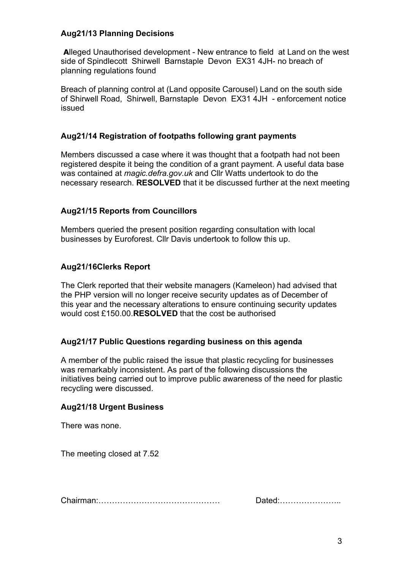## **Aug21/13 Planning Decisions**

**A**lleged Unauthorised development - New entrance to field at Land on the west side of Spindlecott Shirwell Barnstaple Devon EX31 4JH- no breach of planning regulations found

Breach of planning control at (Land opposite Carousel) Land on the south side of Shirwell Road, Shirwell, Barnstaple Devon EX31 4JH - enforcement notice issued

## **Aug21/14 Registration of footpaths following grant payments**

Members discussed a case where it was thought that a footpath had not been registered despite it being the condition of a grant payment. A useful data base was contained at *magic.defra.gov.uk* and Cllr Watts undertook to do the necessary research. **RESOLVED** that it be discussed further at the next meeting

# **Aug21/15 Reports from Councillors**

Members queried the present position regarding consultation with local businesses by Euroforest. Cllr Davis undertook to follow this up.

## **Aug21/16Clerks Report**

The Clerk reported that their website managers (Kameleon) had advised that the PHP version will no longer receive security updates as of December of this year and the necessary alterations to ensure continuing security updates would cost £150.00.**RESOLVED** that the cost be authorised

## **Aug21/17 Public Questions regarding business on this agenda**

A member of the public raised the issue that plastic recycling for businesses was remarkably inconsistent. As part of the following discussions the initiatives being carried out to improve public awareness of the need for plastic recycling were discussed.

## **Aug21/18 Urgent Business**

There was none.

The meeting closed at 7.52

Chairman:……………………………………… Dated:…………………..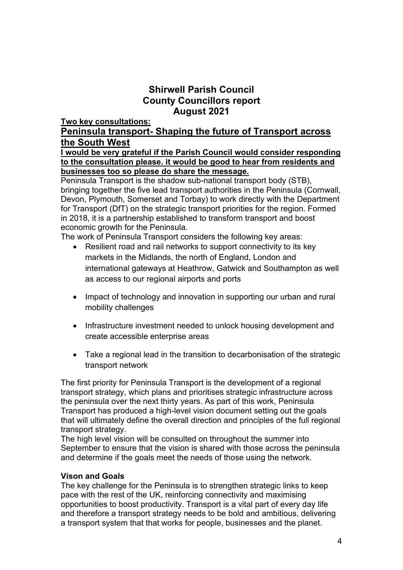# **Shirwell Parish Council County Councillors report August 2021**

**Two key consultations:**

# **Peninsula transport- Shaping the future of Transport across the South West**

# **I would be very grateful if the Parish Council would consider responding to the consultation please. it would be good to hear from residents and businesses too so please do share the message.**

Peninsula Transport is the shadow sub-national transport body (STB), bringing together the five lead transport authorities in the Peninsula (Cornwall, Devon, Plymouth, Somerset and Torbay) to work directly with the Department for Transport (DfT) on the strategic transport priorities for the region. Formed in 2018, it is a partnership established to transform transport and boost economic growth for the Peninsula.

The work of Peninsula Transport considers the following key areas:

- Resilient road and rail networks to support connectivity to its key markets in the Midlands, the north of England, London and international gateways at Heathrow, Gatwick and Southampton as well as access to our regional airports and ports
- Impact of technology and innovation in supporting our urban and rural mobility challenges
- Infrastructure investment needed to unlock housing development and create accessible enterprise areas
- Take a regional lead in the transition to decarbonisation of the strategic transport network

The first priority for Peninsula Transport is the development of a regional transport strategy, which plans and prioritises strategic infrastructure across the peninsula over the next thirty years. As part of this work, Peninsula Transport has produced a high-level vision document setting out the goals that will ultimately define the overall direction and principles of the full regional transport strategy.

The high level vision will be consulted on throughout the summer into September to ensure that the vision is shared with those across the peninsula and determine if the goals meet the needs of those using the network.

# **Vison and Goals**

The key challenge for the Peninsula is to strengthen strategic links to keep pace with the rest of the UK, reinforcing connectivity and maximising opportunities to boost productivity. Transport is a vital part of every day life and therefore a transport strategy needs to be bold and ambitious, delivering a transport system that that works for people, businesses and the planet.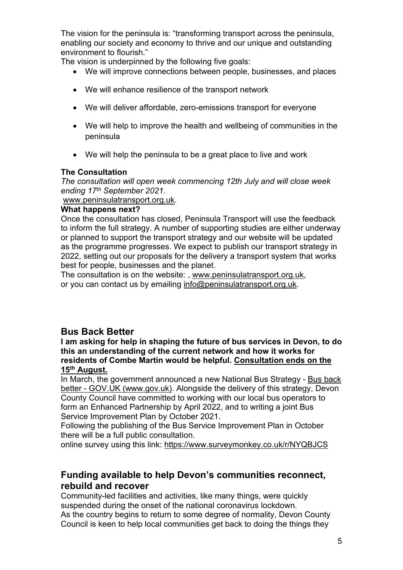The vision for the peninsula is: "transforming transport across the peninsula, enabling our society and economy to thrive and our unique and outstanding environment to flourish."

The vision is underpinned by the following five goals:

- We will improve connections between people, businesses, and places
- We will enhance resilience of the transport network
- We will deliver affordable, zero-emissions transport for everyone
- We will help to improve the health and wellbeing of communities in the peninsula
- We will help the peninsula to be a great place to live and work

## **The Consultation**

*The consultation will open week commencing 12th July and will close week ending 17th September 2021.*

## [www.peninsulatransport.org.uk.](http://www.peninsulatransport.org.uk/)

# **What happens next?**

Once the consultation has closed, Peninsula Transport will use the feedback to inform the full strategy. A number of supporting studies are either underway or planned to support the transport strategy and our website will be updated as the programme progresses. We expect to publish our transport strategy in 2022, setting out our proposals for the delivery a transport system that works best for people, businesses and the planet.

The consultation is on the website: , [www.peninsulatransport.org.uk,](https://www.peninsulatransport.org.uk/) or you can contact us by emailing [info@peninsulatransport.org.uk.](mailto:info@peninsulatransport.org.uk)

# **Bus Back Better**

#### **I am asking for help in shaping the future of bus services in Devon, to do this an understanding of the current network and how it works for residents of Combe Martin would be helpful. Consultation ends on the 15th August.**

In March, the government announced a new National Bus Strategy - [Bus back](https://eur02.safelinks.protection.outlook.com/?url=https%3A%2F%2Fwww.gov.uk%2Fgovernment%2Fpublications%2Fbus-back-better&data=04%7C01%7Crachel.phillips%40devon.gov.uk%7C9f6f5001207640c1dc8108d93d5a7eaa%7C8da13783cb68443fbb4b997f77fd5bfb%7C0%7C0%7C637608281144971021%7CUnknown%7CTWFpbGZsb3d8eyJWIjoiMC4wLjAwMDAiLCJQIjoiV2luMzIiLCJBTiI6Ik1haWwiLCJXVCI6Mn0%3D%7C1000&sdata=h2qG4XLGA9IJBTxxByj5PVuCeHMMMy%2FC%2FFQUYVn74Lc%3D&reserved=0)  [better - GOV.UK \(www.gov.uk\).](https://eur02.safelinks.protection.outlook.com/?url=https%3A%2F%2Fwww.gov.uk%2Fgovernment%2Fpublications%2Fbus-back-better&data=04%7C01%7Crachel.phillips%40devon.gov.uk%7C9f6f5001207640c1dc8108d93d5a7eaa%7C8da13783cb68443fbb4b997f77fd5bfb%7C0%7C0%7C637608281144971021%7CUnknown%7CTWFpbGZsb3d8eyJWIjoiMC4wLjAwMDAiLCJQIjoiV2luMzIiLCJBTiI6Ik1haWwiLCJXVCI6Mn0%3D%7C1000&sdata=h2qG4XLGA9IJBTxxByj5PVuCeHMMMy%2FC%2FFQUYVn74Lc%3D&reserved=0) Alongside the delivery of this strategy, Devon County Council have committed to working with our local bus operators to form an Enhanced Partnership by April 2022, and to writing a joint Bus Service Improvement Plan by October 2021.

Following the publishing of the Bus Service Improvement Plan in October there will be a full public consultation.

online survey using this link:<https://www.surveymonkey.co.uk/r/NYQBJCS>

# **Funding available to help Devon's communities reconnect, rebuild and recover**

Community-led facilities and activities, like many things, were quickly suspended during the onset of the national coronavirus lockdown. As the country begins to return to some degree of normality, Devon County Council is keen to help local communities get back to doing the things they